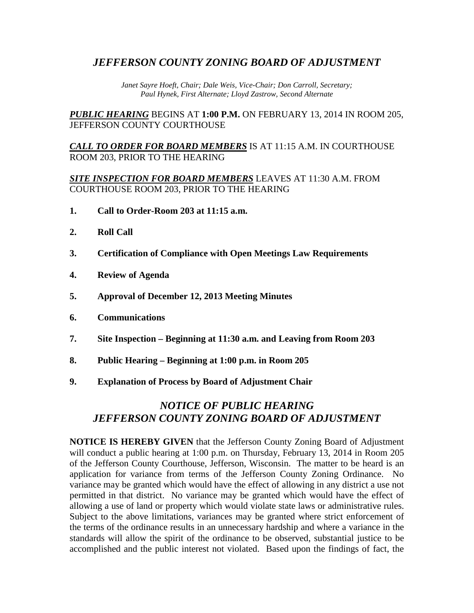## *JEFFERSON COUNTY ZONING BOARD OF ADJUSTMENT*

*Janet Sayre Hoeft, Chair; Dale Weis, Vice-Chair; Don Carroll, Secretary; Paul Hynek, First Alternate; Lloyd Zastrow, Second Alternate*

*PUBLIC HEARING* BEGINS AT **1:00 P.M.** ON FEBRUARY 13, 2014 IN ROOM 205, JEFFERSON COUNTY COURTHOUSE

*CALL TO ORDER FOR BOARD MEMBERS* IS AT 11:15 A.M. IN COURTHOUSE ROOM 203, PRIOR TO THE HEARING

*SITE INSPECTION FOR BOARD MEMBERS* LEAVES AT 11:30 A.M. FROM COURTHOUSE ROOM 203, PRIOR TO THE HEARING

- **1. Call to Order-Room 203 at 11:15 a.m.**
- **2. Roll Call**
- **3. Certification of Compliance with Open Meetings Law Requirements**
- **4. Review of Agenda**
- **5. Approval of December 12, 2013 Meeting Minutes**
- **6. Communications**
- **7. Site Inspection – Beginning at 11:30 a.m. and Leaving from Room 203**
- **8. Public Hearing – Beginning at 1:00 p.m. in Room 205**
- **9. Explanation of Process by Board of Adjustment Chair**

# *NOTICE OF PUBLIC HEARING JEFFERSON COUNTY ZONING BOARD OF ADJUSTMENT*

**NOTICE IS HEREBY GIVEN** that the Jefferson County Zoning Board of Adjustment will conduct a public hearing at 1:00 p.m. on Thursday, February 13, 2014 in Room 205 of the Jefferson County Courthouse, Jefferson, Wisconsin. The matter to be heard is an application for variance from terms of the Jefferson County Zoning Ordinance. No variance may be granted which would have the effect of allowing in any district a use not permitted in that district. No variance may be granted which would have the effect of allowing a use of land or property which would violate state laws or administrative rules. Subject to the above limitations, variances may be granted where strict enforcement of the terms of the ordinance results in an unnecessary hardship and where a variance in the standards will allow the spirit of the ordinance to be observed, substantial justice to be accomplished and the public interest not violated. Based upon the findings of fact, the